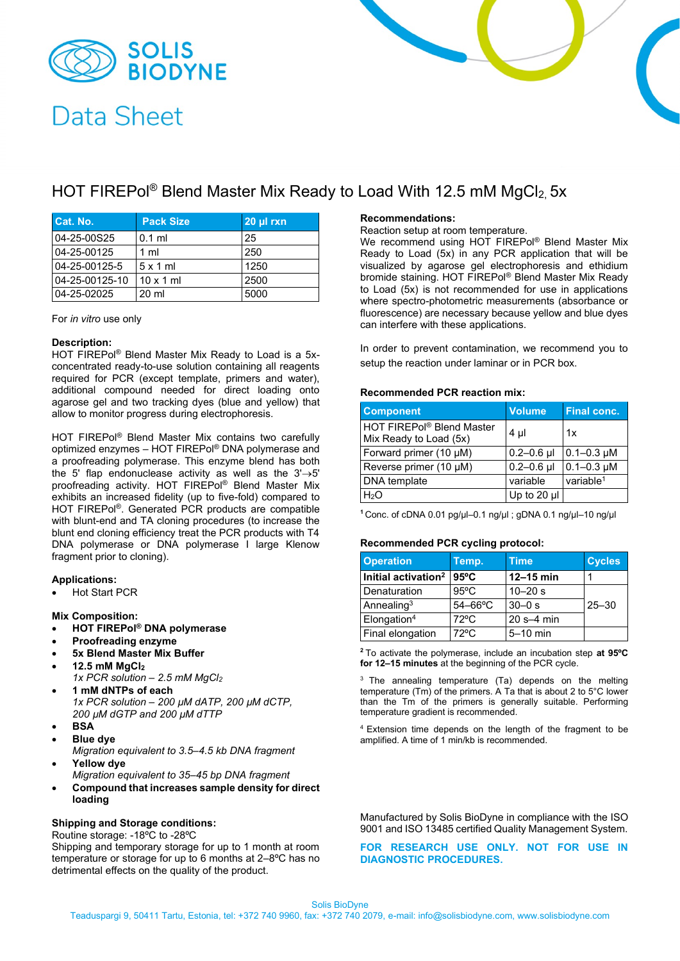

# **Data Sheet**

## HOT FIREPol<sup>®</sup> Blend Master Mix Ready to Load With 12.5 mM MgCl<sub>2</sub> 5x

| Cat. No.       | <b>Pack Size</b> | 20 µl rxn |
|----------------|------------------|-----------|
| 04-25-00S25    | $0.1$ ml         | 25        |
| 04-25-00125    | 1 <sub>m</sub>   | 250       |
| 04-25-00125-5  | $5x1$ ml         | 1250      |
| 04-25-00125-10 | $10 \times 1$ ml | 2500      |
| 04-25-02025    | 20 ml            | 5000      |

For *in vitro* use only

#### **Description:**

HOT FIREPol® Blend Master Mix Ready to Load is a 5xconcentrated ready-to-use solution containing all reagents required for PCR (except template, primers and water), additional compound needed for direct loading onto agarose gel and two tracking dyes (blue and yellow) that allow to monitor progress during electrophoresis.

HOT FIREPol® Blend Master Mix contains two carefully optimized enzymes – HOT FIREPol® DNA polymerase and a proofreading polymerase. This enzyme blend has both the 5' flap endonuclease activity as well as the  $3' \rightarrow 5'$ proofreading activity. HOT FIREPol® Blend Master Mix exhibits an increased fidelity (up to five-fold) compared to HOT FIREPol®. Generated PCR products are compatible with blunt-end and TA cloning procedures (to increase the blunt end cloning efficiency treat the PCR products with T4 DNA polymerase or DNA polymerase I large Klenow fragment prior to cloning).

#### **Applications:**

• Hot Start PCR

**Mix Composition:**

- **HOT FIREPol® DNA polymerase**
- **Proofreading enzyme**
- **5x Blend Master Mix Buffer**
- **12.5 mM MgCl<sup>2</sup>**
- *1x PCR solution – 2.5 mM MgCl<sup>2</sup>* • **1 mM dNTPs of each**
- *1x PCR solution – 200 µM dATP, 200 µM dCTP, 200 µM dGTP and 200 µM dTTP*
- **BSA**
- **Blue dye**
- *Migration equivalent to 3.5–4.5 kb DNA fragment* • **Yellow dye**
- *Migration equivalent to 35–45 bp DNA fragment*
- **Compound that increases sample density for direct loading**

#### **Shipping and Storage conditions:**

Routine storage: -18ºC to -28ºC

Shipping and temporary storage for up to 1 month at room temperature or storage for up to 6 months at 2–8ºC has no detrimental effects on the quality of the product.

### **Recommendations:**

Reaction setup at room temperature.

We recommend using HOT FIREPol<sup>®</sup> Blend Master Mix Ready to Load (5x) in any PCR application that will be visualized by agarose gel electrophoresis and ethidium bromide staining. HOT FIREPol® Blend Master Mix Ready to Load (5x) is not recommended for use in applications where spectro-photometric measurements (absorbance or fluorescence) are necessary because yellow and blue dyes can interfere with these applications.

In order to prevent contamination, we recommend you to setup the reaction under laminar or in PCR box.

#### **Recommended PCR reaction mix:**

| <b>Component</b>                                    | <b>Volume</b>  | <b>Final conc.</b>    |
|-----------------------------------------------------|----------------|-----------------------|
| HOT FIREPol® Blend Master<br>Mix Ready to Load (5x) | $4 \mu$        | 1x                    |
| Forward primer (10 µM)                              | $0.2 - 0.6$ µl | $0.1 - 0.3 \mu M$     |
| Reverse primer (10 µM)                              | $0.2 - 0.6$ µl | $0.1 - 0.3 \mu M$     |
| <b>DNA</b> template                                 | variable       | variable <sup>1</sup> |
| H <sub>2</sub> O                                    | Up to 20 µl    |                       |

**<sup>1</sup>** Conc. of cDNA 0.01 pg/µl–0.1 ng/µl ; gDNA 0.1 ng/µl–10 ng/µl

#### **Recommended PCR cycling protocol:**

| <b>Operation</b>             | Temp.          | <b>Time</b>    | <b>Cycles</b> |
|------------------------------|----------------|----------------|---------------|
| $\,$ Initial activation $^2$ | $95^{\circ}$ C | $12-15$ min    |               |
| Denaturation                 | $95^{\circ}$ C | $10 - 20$ s    |               |
| Annealing $3$                | $54-66$ °C     | $30 - 0$ s     | $25 - 30$     |
| Elongation <sup>4</sup>      | $72^{\circ}$ C | $20 s - 4 min$ |               |
| Final elongation             | $72^{\circ}$ C | $5-10$ min     |               |

**<sup>2</sup>** To activate the polymerase, include an incubation step **at 95ºC for 12–15 minutes** at the beginning of the PCR cycle.

<sup>3</sup> The annealing temperature (Ta) depends on the melting temperature (Tm) of the primers. A Ta that is about 2 to 5°C lower than the Tm of the primers is generally suitable. Performing temperature gradient is recommended.

<sup>4</sup>Extension time depends on the length of the fragment to be amplified. A time of 1 min/kb is recommended.

Manufactured by Solis BioDyne in compliance with the ISO 9001 and ISO 13485 certified Quality Management System.

#### **FOR RESEARCH USE ONLY. NOT FOR USE IN DIAGNOSTIC PROCEDURES.**